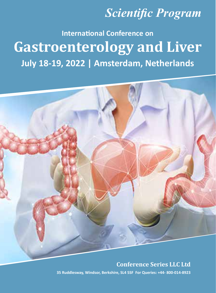## *Scientific Program*

# **July 18-19, 2022 | Amsterdam, Netherlands International Conference on Gastroenterology and Liver**



#### **Conference Series LLC Ltd**

**35 Ruddlesway, Windsor, Berkshire, SL4 5SF For Queries: +44- 800-014-8923**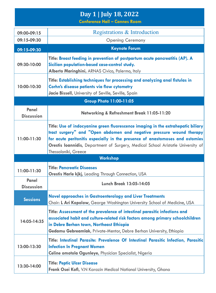## **Day 1 | July 18, 2022**

**Conference Hall – Cannes Room**

| 09:00-09:15                    | Registrations & Introduction                                                                                                                                                                                                                                                                                                                         |  |  |
|--------------------------------|------------------------------------------------------------------------------------------------------------------------------------------------------------------------------------------------------------------------------------------------------------------------------------------------------------------------------------------------------|--|--|
| 09:15-09:30                    | <b>Opening Ceremony</b>                                                                                                                                                                                                                                                                                                                              |  |  |
| 09:15-09:30                    | <b>Keynote Forum</b>                                                                                                                                                                                                                                                                                                                                 |  |  |
| 09:30-10:00                    | Title: Breast feeding in prevention of postpartum acute pancreatitis (AP). A<br>Sicilian population-based case-control study.<br>Alberto Maringhini, ARNAS Civico, Palermo, Italy                                                                                                                                                                    |  |  |
| 10:00-10:30                    | Title: Establishing techniques for processing and analyzing anal fistulas in<br>Corhn's disease patients via flow cytometry<br>Jacie Bissell, University of Seville, Seville, Spain                                                                                                                                                                  |  |  |
| <b>Group Photo 11:00-11:05</b> |                                                                                                                                                                                                                                                                                                                                                      |  |  |
| Panel<br><b>Discussion</b>     | Networking & Refreshment Break 11:05-11:20                                                                                                                                                                                                                                                                                                           |  |  |
| 11:00-11:30                    | Title: Use of indocyanine green fluorescence imaging in the extrahepatic biliary<br>tract surgery" and "Open abdomen and negative pressure wound therapy<br>for acute peritonitis especially in the presence of anastomoses and ostomies<br>Orestis loannidis, Department of Surgery, Medical School Aristotle University of<br>Thessaloniki, Greece |  |  |
|                                | <b>Workshop</b>                                                                                                                                                                                                                                                                                                                                      |  |  |
| 11:00-11:30                    | <b>Title: Pancreatic Diseases</b><br><b>Orestis Harle kjkj, Leading Through Connection, USA</b>                                                                                                                                                                                                                                                      |  |  |
| Panel<br><b>Discussion</b>     | <b>Lunch Break 13:05-14:05</b>                                                                                                                                                                                                                                                                                                                       |  |  |
| <b>Sessions</b>                | <b>Novel approaches in Gastroenterology and Liver Treatments</b><br>Chair: L Ari Kopolow, George Washington University School of Medicine, USA                                                                                                                                                                                                       |  |  |
| 14:05-14:35                    | Title: Assessment of the prevalence of intestinal parasitic infections and<br>associated habit and culture-related risk factors among primary schoolchildren<br>in Debre Berhan town, Northeast Ethiopia<br>Gedamu Gebreamlak, Private-Mentor, Debre Berhan University, Ethiopia                                                                     |  |  |
| 13:00-13:30                    | Title: Intestinal Parasite: Prevalence Of Intestinal Parasitic Infection, Parasitic<br><b>Infection In Pregnant Women</b><br>Celine omotola Ogunleye, Physician Specialist, Nigeria                                                                                                                                                                  |  |  |
| 13:30-14:00                    | <b>Title: Peptic Ulcer Disease</b><br>Frank Osei Kofi, V.N Karazin Medical National University, Ghana                                                                                                                                                                                                                                                |  |  |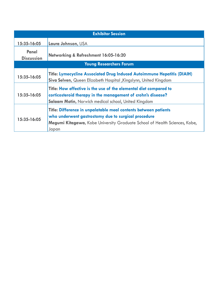| <b>Exhibitor Session</b>       |                                                                                                                                                                                                               |  |
|--------------------------------|---------------------------------------------------------------------------------------------------------------------------------------------------------------------------------------------------------------|--|
| 15:35-16:05                    | Laura Johnson, USA                                                                                                                                                                                            |  |
| Panel<br><b>Discussion</b>     | Networking & Refreshment 16:05-16:20                                                                                                                                                                          |  |
| <b>Young Researchers Forum</b> |                                                                                                                                                                                                               |  |
| 15:35-16:05                    | Title: Lymecycline Associated Drug Induced Autoimmune Hepatitis (DIAIH)<br>Siva Selven, Queen Elizabeth Hospital , Kingslynn, United Kingdom                                                                  |  |
| 15:35-16:05                    | Title: How effective is the use of the elemental diet compared to<br>corticosteroid therapy in the management of crohn's disease?<br><b>Salaam Motin, Norwich medical school, United Kingdom</b>              |  |
| 15:35-16:05                    | Title: Difference in unpalatable meal contents between patients<br>who underwent gastrostomy due to surgical procedure<br>Megumi Kitagawa, Kobe University Graduate School of Health Sciences, Kobe,<br>Japan |  |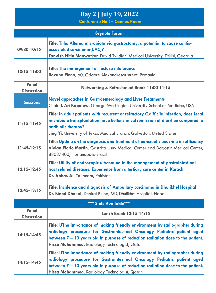## **Day 2 | July 19, 2022**

**Conference Hall – Cannes Room**

| <b>Keynote Forum</b>       |                                                                                                                                                                                                                                                                                                |  |
|----------------------------|------------------------------------------------------------------------------------------------------------------------------------------------------------------------------------------------------------------------------------------------------------------------------------------------|--|
| 09:30-10:15                | Title: Title: Altered microbiota via gastrostomy: a potential to cause colitis-<br>associated carcinoma(CAC)?                                                                                                                                                                                  |  |
|                            | Tanvish Nitin Manwatkar, David Tvildiani Medical University, Tbilisi, Georgia                                                                                                                                                                                                                  |  |
| $10:15-11:00$              | Title: The management of lactose intolerance<br>Roxana Elena, 60, Grigore Alexandrescu street, Romania                                                                                                                                                                                         |  |
| Panel<br><b>Discussion</b> | Networking & Refreshment Break 11:00-11:15                                                                                                                                                                                                                                                     |  |
| <b>Sessions</b>            | <b>Novel approaches in Gastroenterology and Liver Treatments</b><br>Chair: L Ari Kopolow, George Washington University School of Medicine, USA                                                                                                                                                 |  |
| $11:15-11:45$              | Title: In adult patients with recurrent or refractory C.difficile infection, does fecal<br>microbiota transplantation have better clinical remission of diarrhea compared to<br>antibiotic therapy?<br>Jing Yi, University of Texas Medical Branch, Galveston, United States                   |  |
| $11:45-12:15$              | Title: Update on the diagnosis and treatment of pancreatic exocrine insufficiency<br>Vivian Florio Martin, Gastrica Usuy Medical Center and Dagostin Medical Center,<br>88037400, Florianópolis-Brazil                                                                                         |  |
| $12:15 - 12:45$            | Title: Utility of endoscopic ultrasound in the management of gastrointestinal<br>tract related diseases: Experience from a tertiary care center in Karachi<br>Dr. Abbas Ali Tasneem, Pakistan                                                                                                  |  |
| $12:45-13:15$              | Title: Incidence and diagnosis of Ampullary carcinoma in Dhulikhel Hospital<br>Dr. Binod Dhakal, Dhakal Binod, MD, Dhulikhel Hospital, Nepal                                                                                                                                                   |  |
|                            | <b>*** Slots Available***</b>                                                                                                                                                                                                                                                                  |  |
| Panel<br><b>Discussion</b> | <b>Lunch Break 13:15-14:15</b>                                                                                                                                                                                                                                                                 |  |
| 14:15-14:45                | Title: UThe importance of making friendly environment by radiographer during<br>radiology procedure for Gastrointestinal Oncology Pediatric patient aged<br>between 7 - 10 years old in purpose of reduction radiation dose to the patient.<br>Hissa Mohammed, Radiology Technologist, Qatar   |  |
| 14:15-14:45                | Title: UThe importance of making friendly environment by radiographer during<br>radiology procedure for Gastrointestinal Oncology Pediatric patient aged<br>between $7 - 10$ years old in purpose of reduction radiation dose to the patient.<br>Hissa Mohammed, Radiology Technologist, Qatar |  |